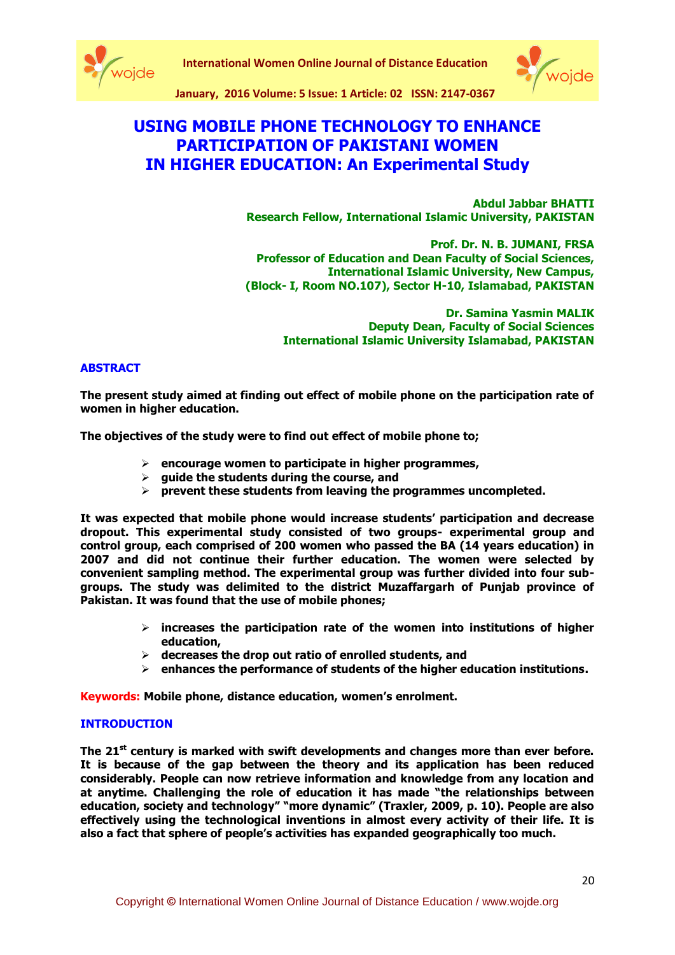



**January, 2016 Volume: 5 Issue: 1 Article: 02 ISSN: 2147-0367**

# **USING MOBILE PHONE TECHNOLOGY TO ENHANCE PARTICIPATION OF PAKISTANI WOMEN IN HIGHER EDUCATION: An Experimental Study**

**Abdul Jabbar BHATTI Research Fellow, International Islamic University, PAKISTAN**

**Prof. Dr. N. B. JUMANI, FRSA Professor of Education and Dean Faculty of Social Sciences, International Islamic University, New Campus, (Block- I, Room NO.107), Sector H-10, Islamabad, PAKISTAN**

> **Dr. Samina Yasmin MALIK Deputy Dean, Faculty of Social Sciences International Islamic University Islamabad, PAKISTAN**

### **ABSTRACT**

**The present study aimed at finding out effect of mobile phone on the participation rate of women in higher education.** 

**The objectives of the study were to find out effect of mobile phone to;** 

- **encourage women to participate in higher programmes,**
- **guide the students during the course, and**
- **prevent these students from leaving the programmes uncompleted.**

**It was expected that mobile phone would increase students' participation and decrease dropout. This experimental study consisted of two groups- experimental group and control group, each comprised of 200 women who passed the BA (14 years education) in 2007 and did not continue their further education. The women were selected by convenient sampling method. The experimental group was further divided into four subgroups. The study was delimited to the district Muzaffargarh of Punjab province of Pakistan. It was found that the use of mobile phones;**

- **increases the participation rate of the women into institutions of higher education,**
- **decreases the drop out ratio of enrolled students, and**
- **enhances the performance of students of the higher education institutions.**

**Keywords: Mobile phone, distance education, women's enrolment.** 

#### **INTRODUCTION**

**The 21st century is marked with swift developments and changes more than ever before. It is because of the gap between the theory and its application has been reduced considerably. People can now retrieve information and knowledge from any location and at anytime. Challenging the role of education it has made "the relationships between education, society and technology" "more dynamic" (Traxler, 2009, p. 10). People are also effectively using the technological inventions in almost every activity of their life. It is also a fact that sphere of people's activities has expanded geographically too much.**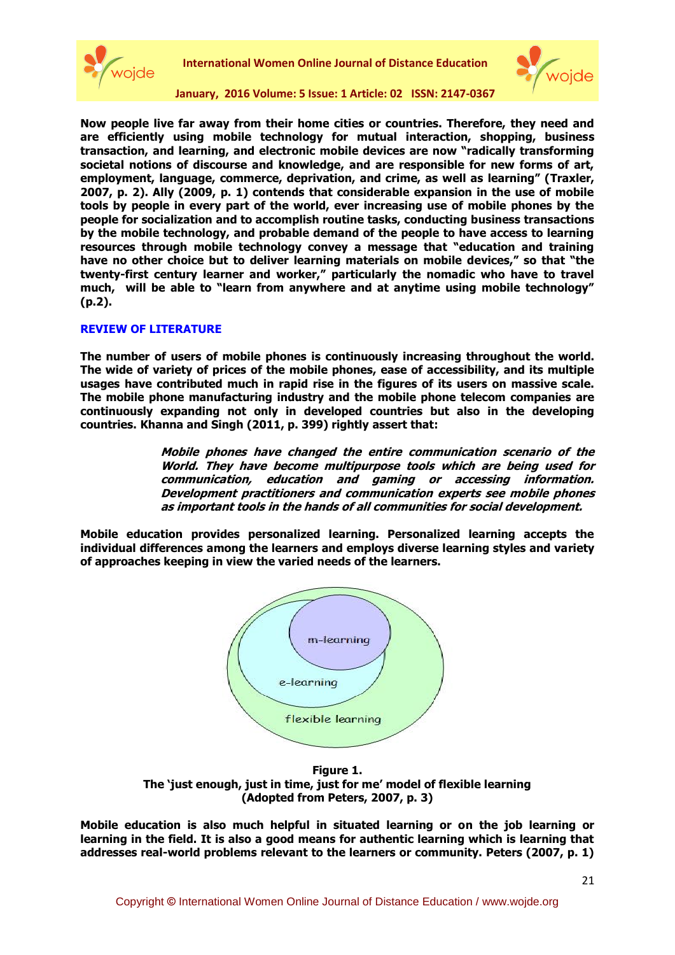



**Now people live far away from their home cities or countries. Therefore, they need and are efficiently using mobile technology for mutual interaction, shopping, business transaction, and learning, and electronic mobile devices are now "radically transforming societal notions of discourse and knowledge, and are responsible for new forms of art, employment, language, commerce, deprivation, and crime, as well as learning" (Traxler, 2007, p. 2). Ally (2009, p. 1) contends that considerable expansion in the use of mobile tools by people in every part of the world, ever increasing use of mobile phones by the people for socialization and to accomplish routine tasks, conducting business transactions by the mobile technology, and probable demand of the people to have access to learning resources through mobile technology convey a message that "education and training have no other choice but to deliver learning materials on mobile devices," so that "the twenty-first century learner and worker," particularly the nomadic who have to travel much, will be able to "learn from anywhere and at anytime using mobile technology" (p.2).**

### **REVIEW OF LITERATURE**

**The number of users of mobile phones is continuously increasing throughout the world. The wide of variety of prices of the mobile phones, ease of accessibility, and its multiple usages have contributed much in rapid rise in the figures of its users on massive scale. The mobile phone manufacturing industry and the mobile phone telecom companies are continuously expanding not only in developed countries but also in the developing countries. Khanna and Singh (2011, p. 399) rightly assert that:**

> **Mobile phones have changed the entire communication scenario of the World. They have become multipurpose tools which are being used for communication, education and gaming or accessing information. Development practitioners and communication experts see mobile phones as important tools in the hands of all communities for social development.**

**Mobile education provides personalized learning. Personalized learning accepts the individual differences among the learners and employs diverse learning styles and variety of approaches keeping in view the varied needs of the learners.** 



**Figure 1. The 'just enough, just in time, just for me' model of flexible learning (Adopted from Peters, 2007, p. 3)**

**Mobile education is also much helpful in situated learning or on the job learning or learning in the field. It is also a good means for authentic learning which is learning that addresses real-world problems relevant to the learners or community. Peters (2007, p. 1)**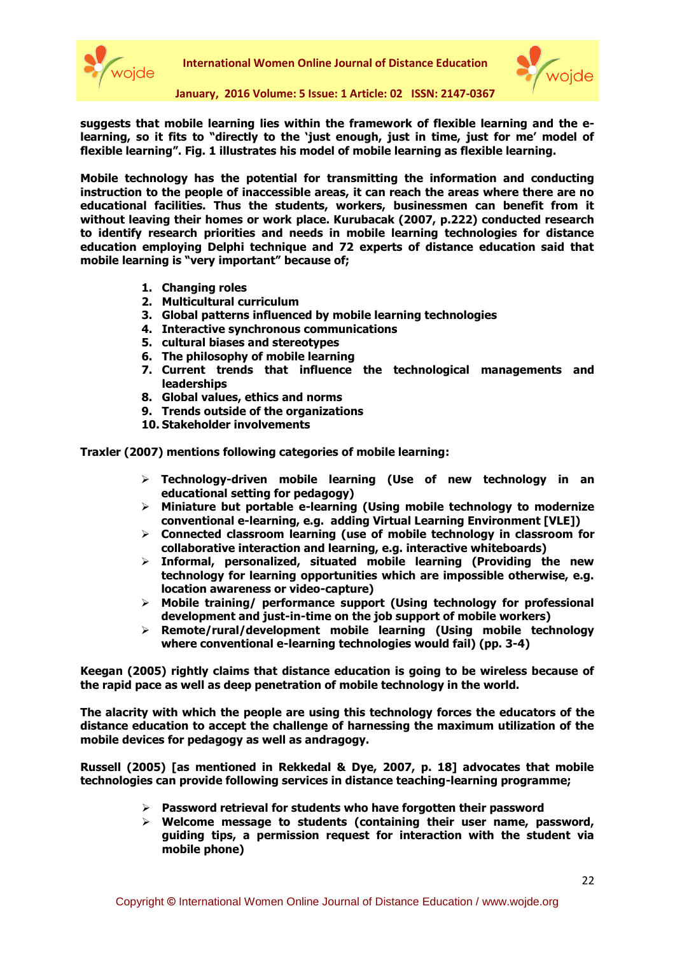



**suggests that mobile learning lies within the framework of flexible learning and the elearning, so it fits to "directly to the 'just enough, just in time, just for me' model of flexible learning". Fig. 1 illustrates his model of mobile learning as flexible learning.**

**Mobile technology has the potential for transmitting the information and conducting instruction to the people of inaccessible areas, it can reach the areas where there are no educational facilities. Thus the students, workers, businessmen can benefit from it without leaving their homes or work place. Kurubacak (2007, p.222) conducted research to identify research priorities and needs in mobile learning technologies for distance education employing Delphi technique and 72 experts of distance education said that mobile learning is "very important" because of;**

- **1. Changing roles**
- **2. Multicultural curriculum**
- **3. Global patterns influenced by mobile learning technologies**
- **4. Interactive synchronous communications**
- **5. cultural biases and stereotypes**
- **6. The philosophy of mobile learning**
- **7. Current trends that influence the technological managements and leaderships**
- **8. Global values, ethics and norms**
- **9. Trends outside of the organizations**
- **10. Stakeholder involvements**

**Traxler (2007) mentions following categories of mobile learning:**

- **Technology-driven mobile learning (Use of new technology in an educational setting for pedagogy)**
- **Miniature but portable e-learning (Using mobile technology to modernize conventional e-learning, e.g. adding Virtual Learning Environment [VLE])**
- **Connected classroom learning (use of mobile technology in classroom for collaborative interaction and learning, e.g. interactive whiteboards)**
- **Informal, personalized, situated mobile learning (Providing the new technology for learning opportunities which are impossible otherwise, e.g. location awareness or video-capture)**
- **Mobile training/ performance support (Using technology for professional development and just-in-time on the job support of mobile workers)**
- **Remote/rural/development mobile learning (Using mobile technology where conventional e-learning technologies would fail) (pp. 3-4)**

**Keegan (2005) rightly claims that distance education is going to be wireless because of the rapid pace as well as deep penetration of mobile technology in the world.** 

**The alacrity with which the people are using this technology forces the educators of the distance education to accept the challenge of harnessing the maximum utilization of the mobile devices for pedagogy as well as andragogy.**

**Russell (2005) [as mentioned in Rekkedal & Dye, 2007, p. 18] advocates that mobile technologies can provide following services in distance teaching-learning programme;**

- **Password retrieval for students who have forgotten their password**
- **Welcome message to students (containing their user name, password, guiding tips, a permission request for interaction with the student via mobile phone)**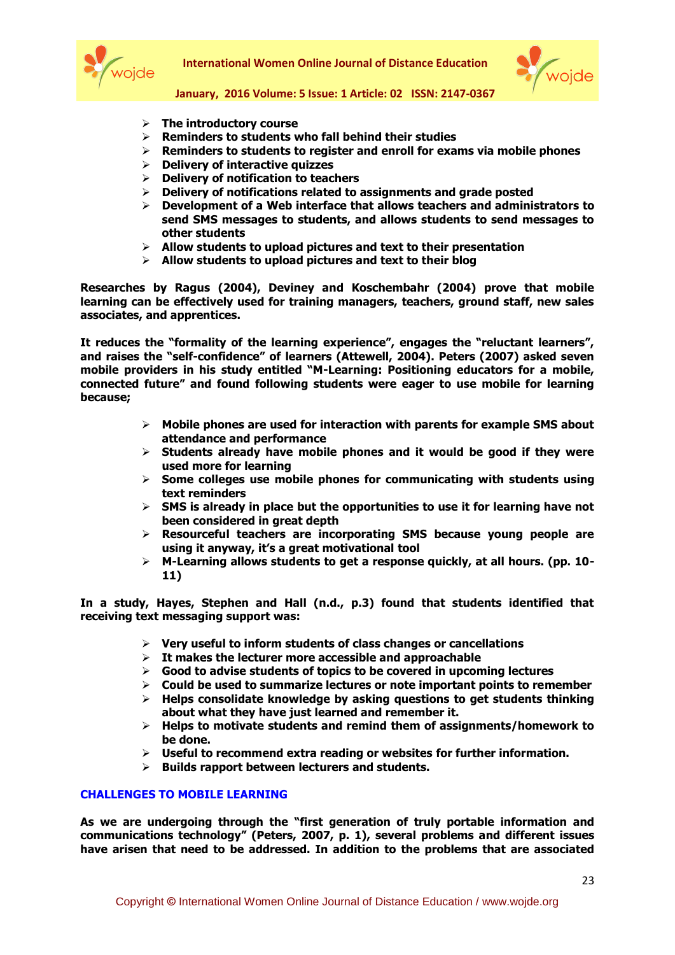



#### **January, 2016 Volume: 5 Issue: 1 Article: 02 ISSN: 2147-0367**

- **The introductory course**
- **Reminders to students who fall behind their studies**
- **Reminders to students to register and enroll for exams via mobile phones**
- **Delivery of interactive quizzes**
- **Delivery of notification to teachers**
- **Delivery of notifications related to assignments and grade posted**
- **Development of a Web interface that allows teachers and administrators to send SMS messages to students, and allows students to send messages to other students**
- **Allow students to upload pictures and text to their presentation**
- **Allow students to upload pictures and text to their blog**

**Researches by Ragus (2004), Deviney and Koschembahr (2004) prove that mobile learning can be effectively used for training managers, teachers, ground staff, new sales associates, and apprentices.** 

**It reduces the "formality of the learning experience", engages the "reluctant learners", and raises the "self-confidence" of learners (Attewell, 2004). Peters (2007) asked seven mobile providers in his study entitled "M-Learning: Positioning educators for a mobile, connected future" and found following students were eager to use mobile for learning because;**

- **Mobile phones are used for interaction with parents for example SMS about attendance and performance**
- **Students already have mobile phones and it would be good if they were used more for learning**
- **Some colleges use mobile phones for communicating with students using text reminders**
- **SMS is already in place but the opportunities to use it for learning have not been considered in great depth**
- **Resourceful teachers are incorporating SMS because young people are using it anyway, it's a great motivational tool**
- **M-Learning allows students to get a response quickly, at all hours. (pp. 10- 11)**

**In a study, Hayes, Stephen and Hall (n.d., p.3) found that students identified that receiving text messaging support was:**

- **Very useful to inform students of class changes or cancellations**
- **It makes the lecturer more accessible and approachable**
- **Good to advise students of topics to be covered in upcoming lectures**
- **Could be used to summarize lectures or note important points to remember**
- **Helps consolidate knowledge by asking questions to get students thinking about what they have just learned and remember it.**
- **Helps to motivate students and remind them of assignments/homework to be done.**
- **Useful to recommend extra reading or websites for further information.**
- **Builds rapport between lecturers and students.**

#### **CHALLENGES TO MOBILE LEARNING**

**As we are undergoing through the "first generation of truly portable information and communications technology" (Peters, 2007, p. 1), several problems and different issues have arisen that need to be addressed. In addition to the problems that are associated**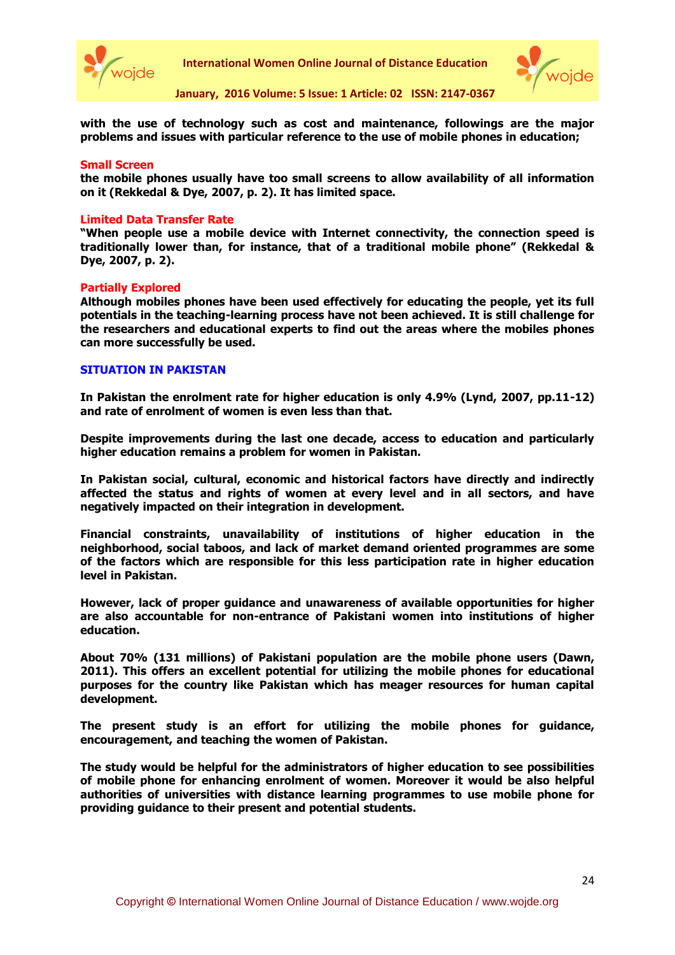



**with the use of technology such as cost and maintenance, followings are the major problems and issues with particular reference to the use of mobile phones in education;**

#### **Small Screen**

**the mobile phones usually have too small screens to allow availability of all information on it (Rekkedal & Dye, 2007, p. 2). It has limited space.**

#### **Limited Data Transfer Rate**

**"When people use a mobile device with Internet connectivity, the connection speed is traditionally lower than, for instance, that of a traditional mobile phone" (Rekkedal & Dye, 2007, p. 2).**

#### **Partially Explored**

**Although mobiles phones have been used effectively for educating the people, yet its full potentials in the teaching-learning process have not been achieved. It is still challenge for the researchers and educational experts to find out the areas where the mobiles phones can more successfully be used.**

#### **SITUATION IN PAKISTAN**

**In Pakistan the enrolment rate for higher education is only 4.9% (Lynd, 2007, pp.11-12) and rate of enrolment of women is even less than that.** 

**Despite improvements during the last one decade, access to education and particularly higher education remains a problem for women in Pakistan.** 

**In Pakistan social, cultural, economic and historical factors have directly and indirectly affected the status and rights of women at every level and in all sectors, and have negatively impacted on their integration in development.** 

**Financial constraints, unavailability of institutions of higher education in the neighborhood, social taboos, and lack of market demand oriented programmes are some of the factors which are responsible for this less participation rate in higher education level in Pakistan.** 

**However, lack of proper guidance and unawareness of available opportunities for higher are also accountable for non-entrance of Pakistani women into institutions of higher education.**

**About 70% (131 millions) of Pakistani population are the mobile phone users (Dawn, 2011). This offers an excellent potential for utilizing the mobile phones for educational purposes for the country like Pakistan which has meager resources for human capital development.** 

**The present study is an effort for utilizing the mobile phones for guidance, encouragement, and teaching the women of Pakistan.** 

**The study would be helpful for the administrators of higher education to see possibilities of mobile phone for enhancing enrolment of women. Moreover it would be also helpful authorities of universities with distance learning programmes to use mobile phone for providing guidance to their present and potential students.**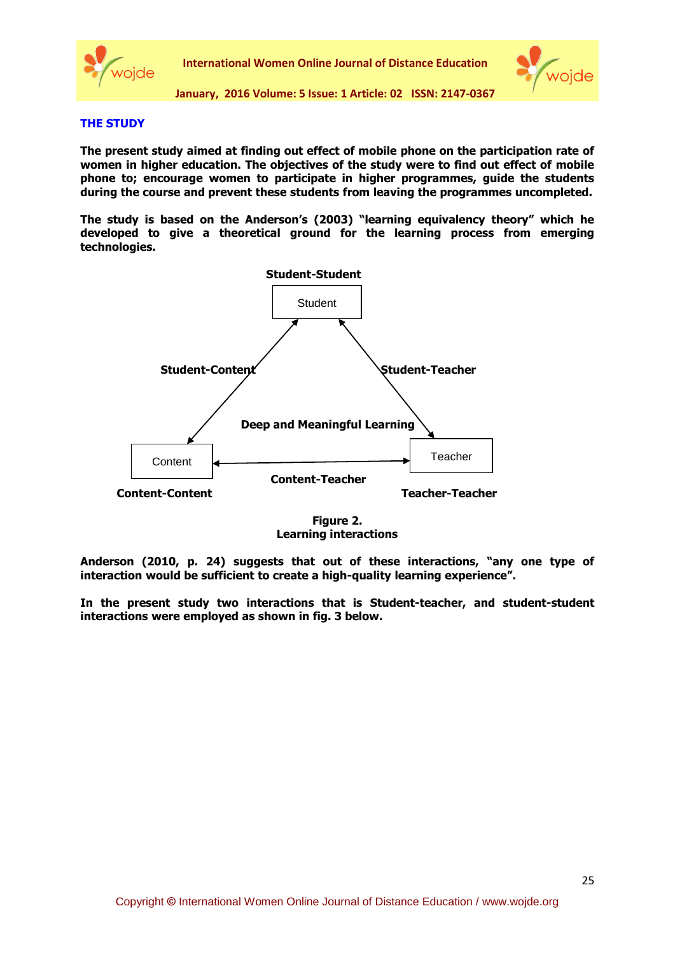



#### **THE STUDY**

**The present study aimed at finding out effect of mobile phone on the participation rate of women in higher education. The objectives of the study were to find out effect of mobile phone to; encourage women to participate in higher programmes, guide the students during the course and prevent these students from leaving the programmes uncompleted.**

**The study is based on the Anderson's (2003) "learning equivalency theory" which he developed to give a theoretical ground for the learning process from emerging technologies.**



**Figure 2. Learning interactions**

**Anderson (2010, p. 24) suggests that out of these interactions, "any one type of interaction would be sufficient to create a high-quality learning experience".** 

**In the present study two interactions that is Student-teacher, and student-student interactions were employed as shown in fig. 3 below.**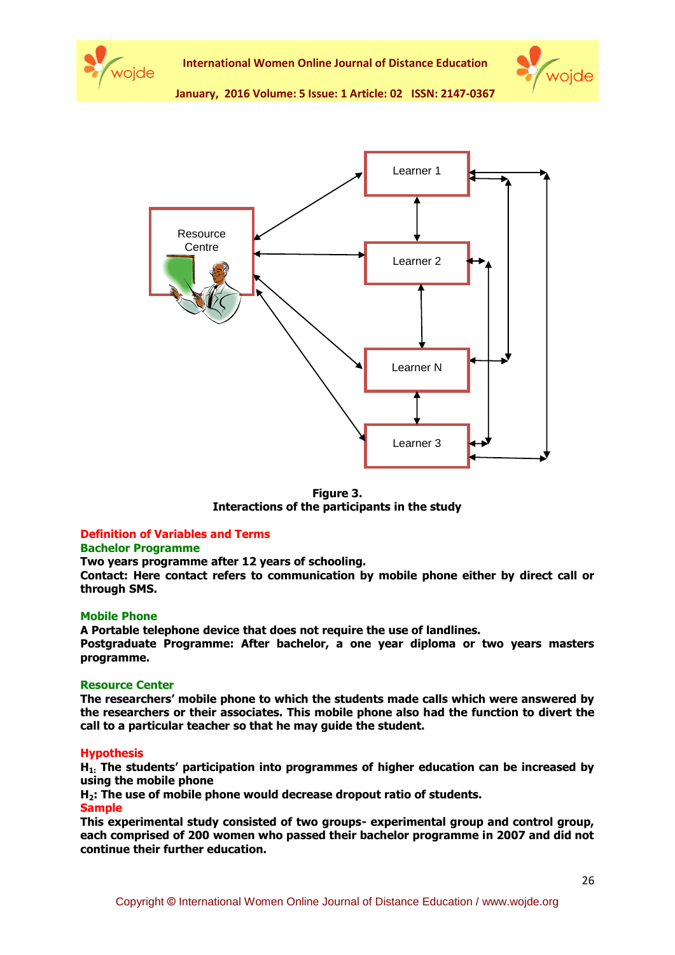





**Figure 3. Interactions of the participants in the study**

## **Definition of Variables and Terms**

#### **Bachelor Programme**

**Two years programme after 12 years of schooling.** 

**Contact: Here contact refers to communication by mobile phone either by direct call or through SMS.**

#### **Mobile Phone**

**A Portable telephone device that does not require the use of landlines.**

**Postgraduate Programme: After bachelor, a one year diploma or two years masters programme.** 

#### **Resource Center**

**The researchers' mobile phone to which the students made calls which were answered by the researchers or their associates. This mobile phone also had the function to divert the call to a particular teacher so that he may guide the student.**

#### **Hypothesis**

**H1: The students' participation into programmes of higher education can be increased by using the mobile phone**

**H2: The use of mobile phone would decrease dropout ratio of students.** 

**Sample**

**This experimental study consisted of two groups- experimental group and control group, each comprised of 200 women who passed their bachelor programme in 2007 and did not continue their further education.**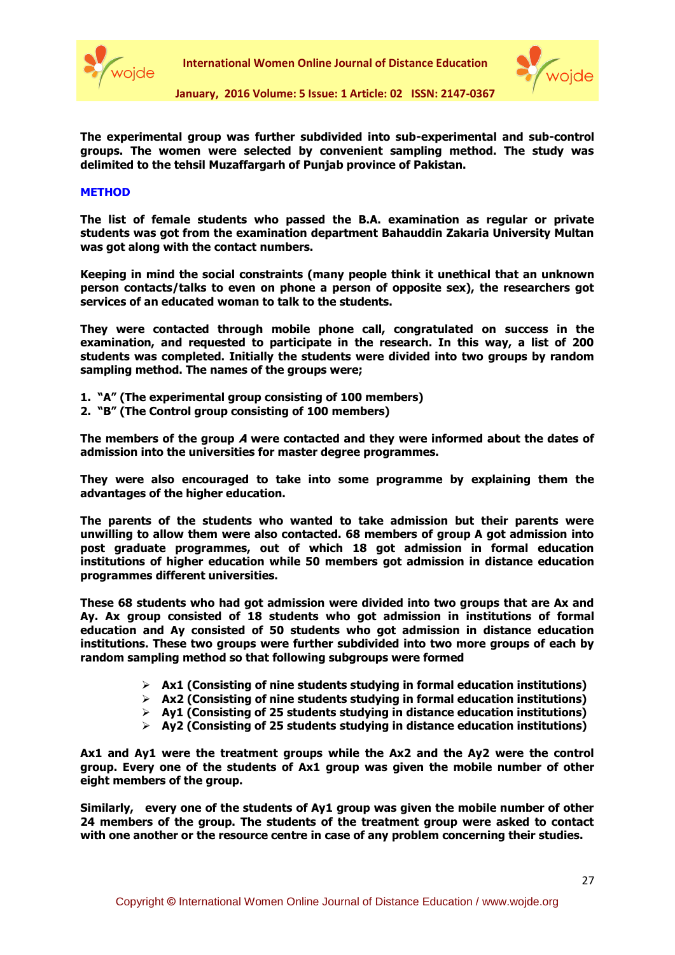



**The experimental group was further subdivided into sub-experimental and sub-control groups. The women were selected by convenient sampling method. The study was delimited to the tehsil Muzaffargarh of Punjab province of Pakistan.**

#### **METHOD**

**The list of female students who passed the B.A. examination as regular or private students was got from the examination department Bahauddin Zakaria University Multan was got along with the contact numbers.** 

**Keeping in mind the social constraints (many people think it unethical that an unknown person contacts/talks to even on phone a person of opposite sex), the researchers got services of an educated woman to talk to the students.** 

**They were contacted through mobile phone call, congratulated on success in the examination, and requested to participate in the research. In this way, a list of 200 students was completed. Initially the students were divided into two groups by random sampling method. The names of the groups were;**

- **1. "A" (The experimental group consisting of 100 members)**
- **2. "B" (The Control group consisting of 100 members)**

**The members of the group A were contacted and they were informed about the dates of admission into the universities for master degree programmes.** 

**They were also encouraged to take into some programme by explaining them the advantages of the higher education.** 

**The parents of the students who wanted to take admission but their parents were unwilling to allow them were also contacted. 68 members of group A got admission into post graduate programmes, out of which 18 got admission in formal education institutions of higher education while 50 members got admission in distance education programmes different universities.** 

**These 68 students who had got admission were divided into two groups that are Ax and Ay. Ax group consisted of 18 students who got admission in institutions of formal education and Ay consisted of 50 students who got admission in distance education institutions. These two groups were further subdivided into two more groups of each by random sampling method so that following subgroups were formed**

- **Ax1 (Consisting of nine students studying in formal education institutions)**
- **Ax2 (Consisting of nine students studying in formal education institutions)**
- **Ay1 (Consisting of 25 students studying in distance education institutions)**
- **Ay2 (Consisting of 25 students studying in distance education institutions)**

**Ax1 and Ay1 were the treatment groups while the Ax2 and the Ay2 were the control group. Every one of the students of Ax1 group was given the mobile number of other eight members of the group.** 

**Similarly, every one of the students of Ay1 group was given the mobile number of other 24 members of the group. The students of the treatment group were asked to contact with one another or the resource centre in case of any problem concerning their studies.**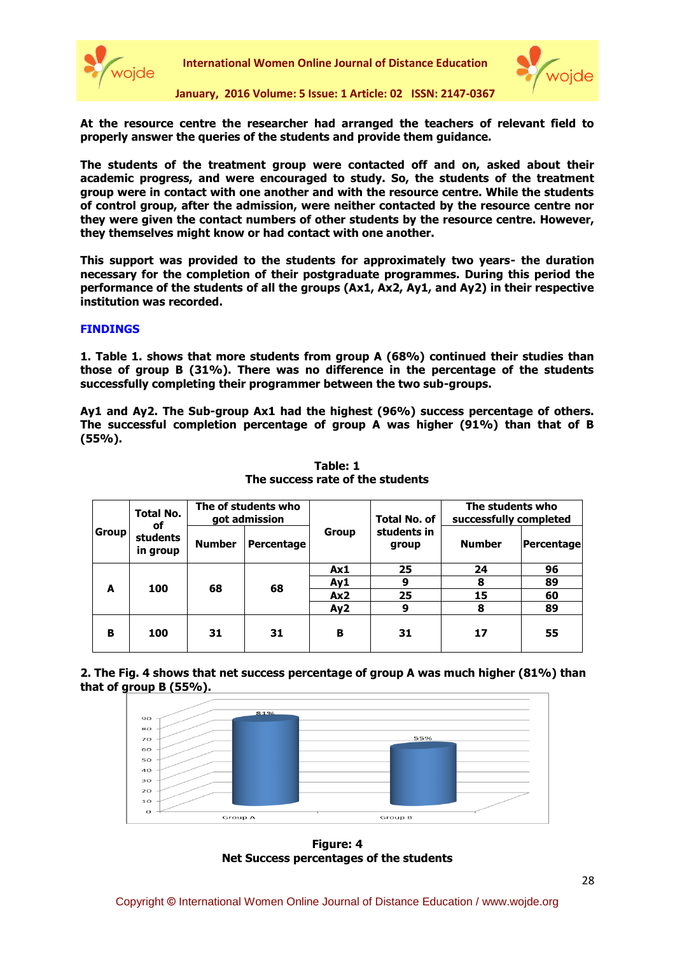



**January, 2016 Volume: 5 Issue: 1 Article: 02 ISSN: 2147-0367**

**At the resource centre the researcher had arranged the teachers of relevant field to properly answer the queries of the students and provide them guidance.** 

**The students of the treatment group were contacted off and on, asked about their academic progress, and were encouraged to study. So, the students of the treatment group were in contact with one another and with the resource centre. While the students of control group, after the admission, were neither contacted by the resource centre nor they were given the contact numbers of other students by the resource centre. However, they themselves might know or had contact with one another.** 

**This support was provided to the students for approximately two years- the duration necessary for the completion of their postgraduate programmes. During this period the performance of the students of all the groups (Ax1, Ax2, Ay1, and Ay2) in their respective institution was recorded.**

#### **FINDINGS**

**1. Table 1. shows that more students from group A (68%) continued their studies than those of group B (31%). There was no difference in the percentage of the students successfully completing their programmer between the two sub-groups.**

**Ay1 and Ay2. The Sub-group Ax1 had the highest (96%) success percentage of others. The successful completion percentage of group A was higher (91%) than that of B (55%).**

| <b>Group</b> | Total No.<br>οf<br><b>students</b><br>in group | The of students who<br>got admission |            |              | <b>Total No. of</b>  | The students who<br>successfully completed |            |
|--------------|------------------------------------------------|--------------------------------------|------------|--------------|----------------------|--------------------------------------------|------------|
|              |                                                | <b>Number</b>                        | Percentage | <b>Group</b> | students in<br>group | <b>Number</b>                              | Percentage |
| A            | 100                                            | 68                                   | 68         | Ax1          | 25                   | 24                                         | 96         |
|              |                                                |                                      |            | Ay1          | 9                    | 8                                          | 89         |
|              |                                                |                                      |            | Ax2          | 25                   | 15                                         | 60         |
|              |                                                |                                      |            | Ay2          | 9                    | 8                                          | 89         |
| B            | 100                                            | 31                                   | 31         | в            | 31                   | 17                                         | 55         |

### **Table: 1 The success rate of the students**

**2. The Fig. 4 shows that net success percentage of group A was much higher (81%) than that of group B (55%).**



**Figure: 4 Net Success percentages of the students**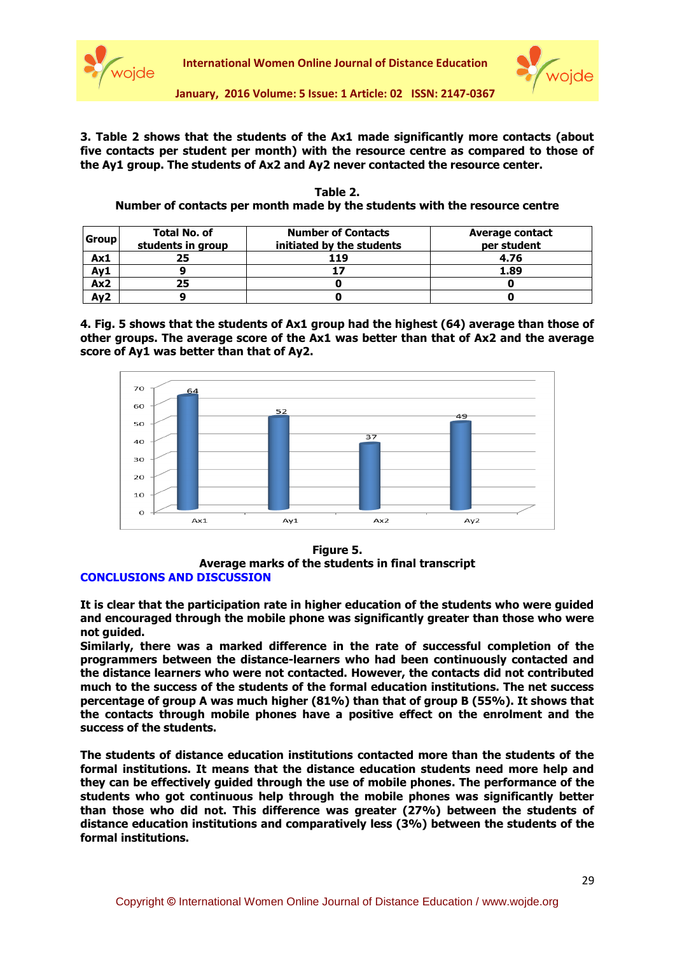



**3. Table 2 shows that the students of the Ax1 made significantly more contacts (about five contacts per student per month) with the resource centre as compared to those of the Ay1 group. The students of Ax2 and Ay2 never contacted the resource center.** 

| Table 2.                                                                   |  |  |  |  |  |  |
|----------------------------------------------------------------------------|--|--|--|--|--|--|
| Number of contacts per month made by the students with the resource centre |  |  |  |  |  |  |
|                                                                            |  |  |  |  |  |  |

| <b>Group</b>    | <b>Total No. of</b><br>students in group | <b>Number of Contacts</b><br>initiated by the students | <b>Average contact</b><br>per student |
|-----------------|------------------------------------------|--------------------------------------------------------|---------------------------------------|
| Ax1             |                                          | 119                                                    | 4.76                                  |
| Ay1             |                                          |                                                        | 1.89                                  |
| Ax2             | 25                                       |                                                        |                                       |
| Ay <sub>2</sub> |                                          |                                                        |                                       |

**4. Fig. 5 shows that the students of Ax1 group had the highest (64) average than those of other groups. The average score of the Ax1 was better than that of Ax2 and the average score of Ay1 was better than that of Ay2.** 



#### **Figure 5.**

**Average marks of the students in final transcript CONCLUSIONS AND DISCUSSION**

**It is clear that the participation rate in higher education of the students who were guided and encouraged through the mobile phone was significantly greater than those who were not guided.** 

**Similarly, there was a marked difference in the rate of successful completion of the programmers between the distance-learners who had been continuously contacted and the distance learners who were not contacted. However, the contacts did not contributed much to the success of the students of the formal education institutions. The net success percentage of group A was much higher (81%) than that of group B (55%). It shows that the contacts through mobile phones have a positive effect on the enrolment and the success of the students.**

**The students of distance education institutions contacted more than the students of the formal institutions. It means that the distance education students need more help and they can be effectively guided through the use of mobile phones. The performance of the students who got continuous help through the mobile phones was significantly better than those who did not. This difference was greater (27%) between the students of distance education institutions and comparatively less (3%) between the students of the formal institutions.**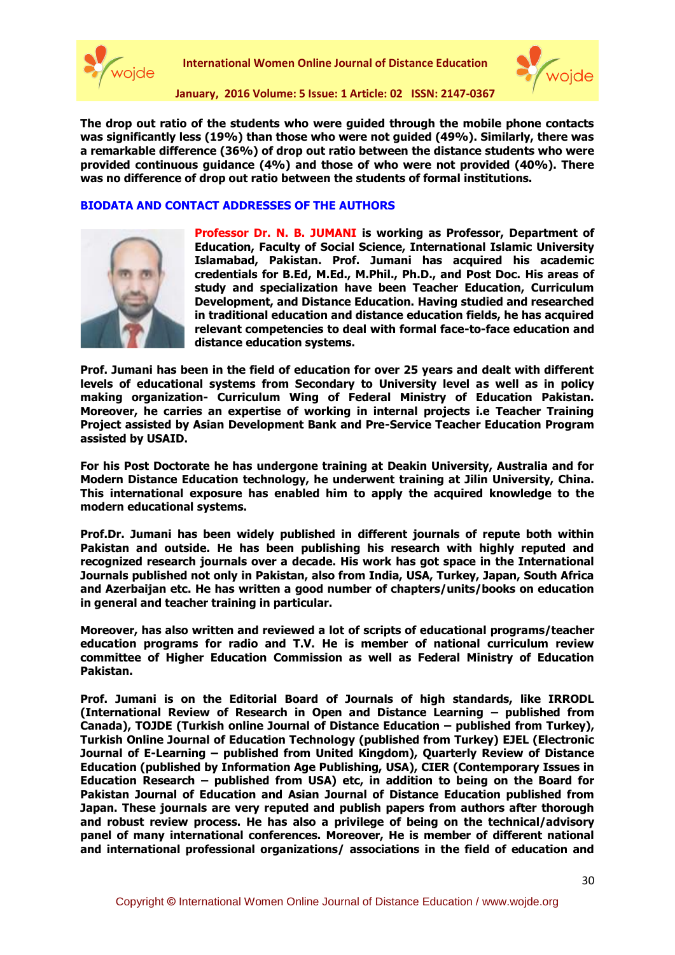



**The drop out ratio of the students who were guided through the mobile phone contacts was significantly less (19%) than those who were not guided (49%). Similarly, there was a remarkable difference (36%) of drop out ratio between the distance students who were provided continuous guidance (4%) and those of who were not provided (40%). There was no difference of drop out ratio between the students of formal institutions.** 

#### **BIODATA AND CONTACT ADDRESSES OF THE AUTHORS**



**Professor Dr. N. B. JUMANI is working as Professor, Department of Education, Faculty of Social Science, International Islamic University Islamabad, Pakistan. Prof. Jumani has acquired his academic credentials for B.Ed, M.Ed., M.Phil., Ph.D., and Post Doc. His areas of study and specialization have been Teacher Education, Curriculum Development, and Distance Education. Having studied and researched in traditional education and distance education fields, he has acquired relevant competencies to deal with formal face-to-face education and distance education systems.** 

**Prof. Jumani has been in the field of education for over 25 years and dealt with different levels of educational systems from Secondary to University level as well as in policy making organization- Curriculum Wing of Federal Ministry of Education Pakistan. Moreover, he carries an expertise of working in internal projects i.e Teacher Training Project assisted by Asian Development Bank and Pre-Service Teacher Education Program assisted by USAID.**

**For his Post Doctorate he has undergone training at Deakin University, Australia and for Modern Distance Education technology, he underwent training at Jilin University, China. This international exposure has enabled him to apply the acquired knowledge to the modern educational systems.**

**Prof.Dr. Jumani has been widely published in different journals of repute both within Pakistan and outside. He has been publishing his research with highly reputed and recognized research journals over a decade. His work has got space in the International Journals published not only in Pakistan, also from India, USA, Turkey, Japan, South Africa and Azerbaijan etc. He has written a good number of chapters/units/books on education in general and teacher training in particular.** 

**Moreover, has also written and reviewed a lot of scripts of educational programs/teacher education programs for radio and T.V. He is member of national curriculum review committee of Higher Education Commission as well as Federal Ministry of Education Pakistan.**

**Prof. Jumani is on the Editorial Board of Journals of high standards, like IRRODL (International Review of Research in Open and Distance Learning – published from Canada), TOJDE (Turkish online Journal of Distance Education – published from Turkey), Turkish Online Journal of Education Technology (published from Turkey) EJEL (Electronic Journal of E-Learning – published from United Kingdom), Quarterly Review of Distance Education (published by Information Age Publishing, USA), CIER (Contemporary Issues in Education Research – published from USA) etc, in addition to being on the Board for Pakistan Journal of Education and Asian Journal of Distance Education published from Japan. These journals are very reputed and publish papers from authors after thorough and robust review process. He has also a privilege of being on the technical/advisory panel of many international conferences. Moreover, He is member of different national and international professional organizations/ associations in the field of education and**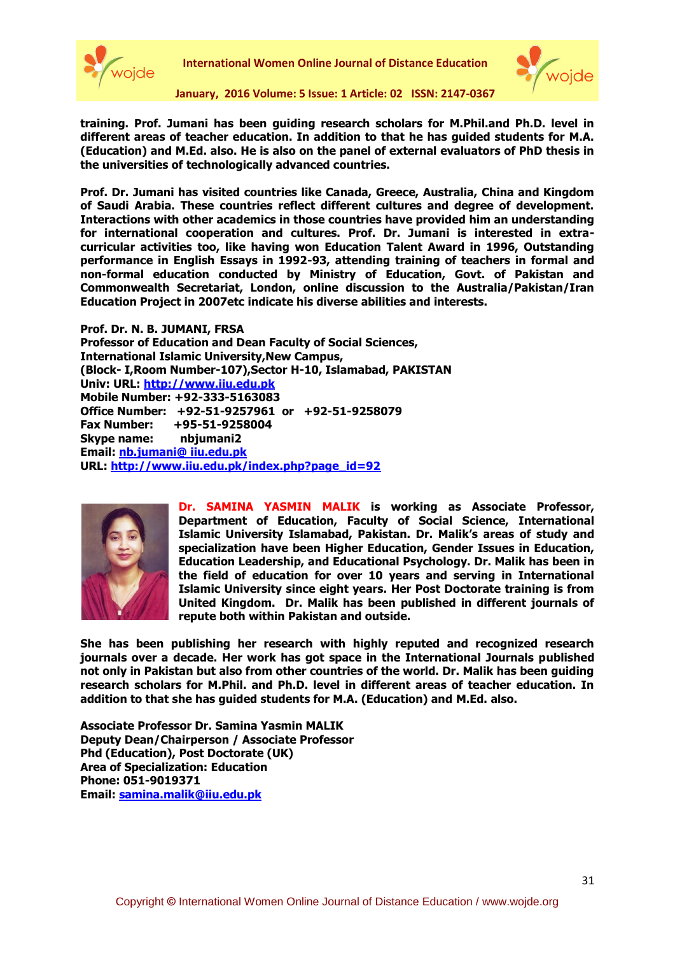



**training. Prof. Jumani has been guiding research scholars for M.Phil.and Ph.D. level in different areas of teacher education. In addition to that he has guided students for M.A. (Education) and M.Ed. also. He is also on the panel of external evaluators of PhD thesis in the universities of technologically advanced countries.**

**Prof. Dr. Jumani has visited countries like Canada, Greece, Australia, China and Kingdom of Saudi Arabia. These countries reflect different cultures and degree of development. Interactions with other academics in those countries have provided him an understanding for international cooperation and cultures. Prof. Dr. Jumani is interested in extracurricular activities too, like having won Education Talent Award in 1996, Outstanding performance in English Essays in 1992-93, attending training of teachers in formal and non-formal education conducted by Ministry of Education, Govt. of Pakistan and Commonwealth Secretariat, London, online discussion to the Australia/Pakistan/Iran Education Project in 2007etc indicate his diverse abilities and interests.**

**Prof. Dr. N. B. JUMANI, FRSA Professor of Education and Dean Faculty of Social Sciences, International Islamic University,New Campus, (Block- I,Room Number-107),Sector H-10, Islamabad, PAKISTAN Univ: URL: [http://www.iiu.edu.pk](http://www.iiu.edu.pk/) Mobile Number: +92-333-5163083 Office Number: +92-51-9257961 or +92-51-9258079 Fax Number: +95-51-9258004 Skype name: nbjumani2 Email: [nb.jumani@ iiu.edu.pk](nb.jumani@%20iiu.edu.pk) URL: [http://www.iiu.edu.pk/index.php?page\\_id=92](https://cas.porsuk.anadolu.edu.tr/owa/redir.aspx?C=b253bd8539bc4acab93650585ad155a6&URL=http%3a%2f%2fwww.iiu.edu.pk%2findex.php%3fpage_id%3d92)**



**Dr. SAMINA YASMIN MALIK is working as Associate Professor, Department of Education, Faculty of Social Science, International Islamic University Islamabad, Pakistan. Dr. Malik's areas of study and specialization have been Higher Education, Gender Issues in Education, Education Leadership, and Educational Psychology. Dr. Malik has been in the field of education for over 10 years and serving in International Islamic University since eight years. Her Post Doctorate training is from United Kingdom. Dr. Malik has been published in different journals of repute both within Pakistan and outside.** 

**She has been publishing her research with highly reputed and recognized research journals over a decade. Her work has got space in the International Journals published not only in Pakistan but also from other countries of the world. Dr. Malik has been guiding research scholars for M.Phil. and Ph.D. level in different areas of teacher education. In addition to that she has guided students for M.A. (Education) and M.Ed. also.** 

**Associate Professor Dr. Samina Yasmin MALIK Deputy Dean/Chairperson / Associate Professor Phd (Education), Post Doctorate (UK) Area of Specialization: Education Phone: 051-9019371 Email: [samina.malik@iiu.edu.pk](mailto:samina.malik@iiu.edu.pk)**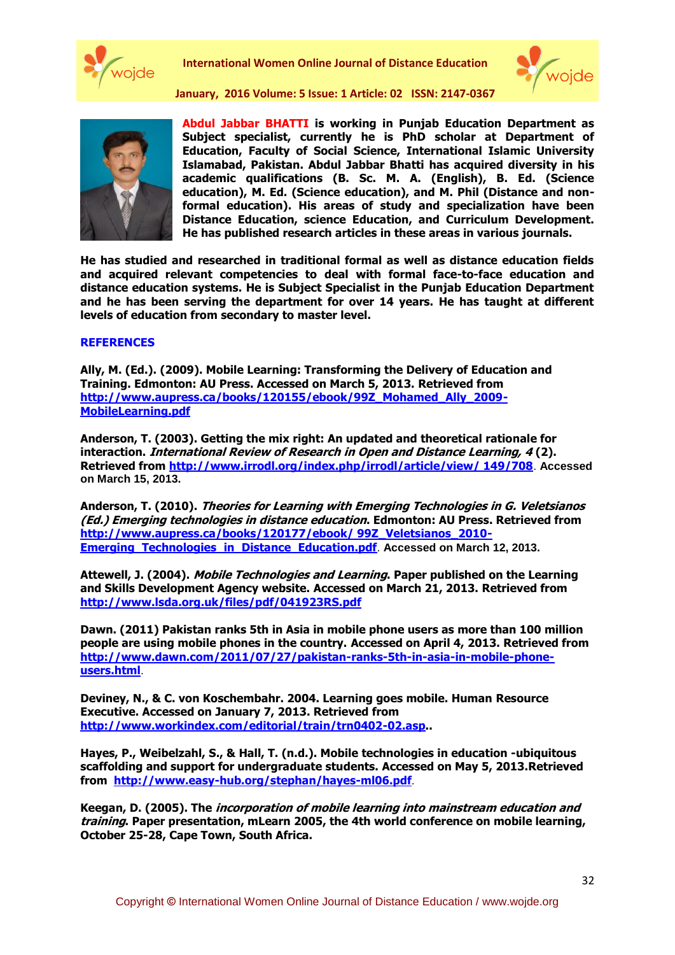



**January, 2016 Volume: 5 Issue: 1 Article: 02 ISSN: 2147-0367**



**Abdul Jabbar BHATTI is working in Punjab Education Department as Subject specialist, currently he is PhD scholar at Department of Education, Faculty of Social Science, International Islamic University Islamabad, Pakistan. Abdul Jabbar Bhatti has acquired diversity in his academic qualifications (B. Sc. M. A. (English), B. Ed. (Science education), M. Ed. (Science education), and M. Phil (Distance and nonformal education). His areas of study and specialization have been Distance Education, science Education, and Curriculum Development. He has published research articles in these areas in various journals.** 

**He has studied and researched in traditional formal as well as distance education fields and acquired relevant competencies to deal with formal face-to-face education and distance education systems. He is Subject Specialist in the Punjab Education Department and he has been serving the department for over 14 years. He has taught at different levels of education from secondary to master level.**

#### **REFERENCES**

**Ally, M. (Ed.). (2009). Mobile Learning: Transforming the Delivery of Education and Training. Edmonton: AU Press. Accessed on March 5, 2013. Retrieved from [http://www.aupress.ca/books/120155/ebook/99Z\\_Mohamed\\_Ally\\_2009-](http://www.aupress.ca/books/120155/ebook/99Z_Mohamed_Ally_2009-MobileLearning.pdf) [MobileLearning.pdf](http://www.aupress.ca/books/120155/ebook/99Z_Mohamed_Ally_2009-MobileLearning.pdf)**

**Anderson, T. (2003). Getting the mix right: An updated and theoretical rationale for interaction. International Review of Research in Open and Distance Learning, 4 (2). Retrieved from [http://www.irrodl.org/index.php/irrodl/article/view/ 149/708](http://www.irrodl.org/index.php/irrodl/article/view/%20149/708)**. **Accessed on March 15, 2013.**

**Anderson, T. (2010). Theories for Learning with Emerging Technologies in G. Veletsianos (Ed.) Emerging technologies in distance education. Edmonton: AU Press. Retrieved from [http://www.aupress.ca/books/120177/ebook/ 99Z\\_Veletsianos\\_2010-](http://www.aupress.ca/books/120177/ebook/%2099Z_Veletsianos_2010-Emerging_Technologies_in_Distance_Education.pdf) [Emerging\\_Technologies\\_in\\_Distance\\_Education.pdf](http://www.aupress.ca/books/120177/ebook/%2099Z_Veletsianos_2010-Emerging_Technologies_in_Distance_Education.pdf)**. **Accessed on March 12, 2013.**

**Attewell, J. (2004). Mobile Technologies and Learning. Paper published on the Learning and Skills Development Agency website. Accessed on March 21, 2013. Retrieved from <http://www.lsda.org.uk/files/pdf/041923RS.pdf>**

**Dawn. (2011) Pakistan ranks 5th in Asia in mobile phone users as more than 100 million people are using mobile phones in the country. Accessed on April 4, 2013. Retrieved from [http://www.dawn.com/2011/07/27/pakistan-ranks-5th-in-asia-in-mobile-phone](http://www.dawn.com/2011/07/27/pakistan-ranks-5th-in-asia-in-mobile-phone-users.html)[users.html](http://www.dawn.com/2011/07/27/pakistan-ranks-5th-in-asia-in-mobile-phone-users.html)**.

**Deviney, N., & C. von Koschembahr. 2004. Learning goes mobile. Human Resource Executive. Accessed on January 7, 2013. Retrieved from [http://www.workindex.com/editorial/train/trn0402-02.asp.](http://www.workindex.com/editorial/train/trn0402-02.asp).**

**Hayes, P., Weibelzahl, S., & Hall, T. (n.d.). Mobile technologies in education -ubiquitous scaffolding and support for undergraduate students. Accessed on May 5, 2013.Retrieved from <http://www.easy-hub.org/stephan/hayes-ml06.pdf>**.

**Keegan, D. (2005). The incorporation of mobile learning into mainstream education and training. Paper presentation, mLearn 2005, the 4th world conference on mobile learning, October 25-28, Cape Town, South Africa.**